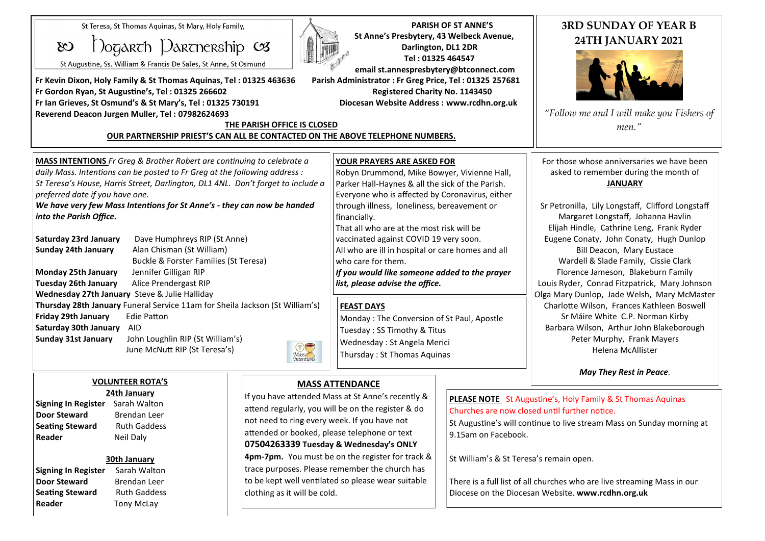St Teresa, St Thomas Aguinas, St Mary, Holy Family,

 $\infty$ 

## $\Omega$ ogarch Darcnership  $\infty$

St Augustine, Ss. William & Francis De Sales, St Anne, St Osmund

**Fr Kevin Dixon, Holy Family & St Thomas Aquinas, Tel : 01325 463636 Parish Administrator : Fr Greg Price, Tel : 01325 257681 Fr Gordon Ryan, St Augustine's, Tel : 01325 266602 Registered Charity No. 1143450 Fr Ian Grieves, St Osmund's & St Mary's, Tel : 01325 730191 Diocesan Website Address : www.rcdhn.org.uk Reverend Deacon Jurgen Muller, Tel : 07982624693**

**30th January**

**Signing In Register** Sarah Walton **Door Steward Brendan Leer Seating Steward**  Ruth Gaddess **Reader Tony McLay** 



 **PARISH OF ST ANNE'S St Anne's Presbytery, 43 Welbeck Avenue, Darlington, DL1 2DR Tel : 01325 464547 email st.annespresbytery@btconnect.com**

## **THE PARISH OFFICE IS CLOSED OUR PARTNERSHIP PRIEST'S CAN ALL BE CONTACTED ON THE ABOVE TELEPHONE NUMBERS.**

## **3RD SUNDAY OF YEAR B 24TH JANUARY 2021**



*"Follow me and I will make you Fishers of men."*

| MASS INTENTIONS Fr Greg & Brother Robert are continuing to celebrate a           | <b>YOUR PRAYERS ARE ASKED FOR</b>                                   | For those whose anniversaries we have been                                                                                                                                                   |  |
|----------------------------------------------------------------------------------|---------------------------------------------------------------------|----------------------------------------------------------------------------------------------------------------------------------------------------------------------------------------------|--|
| daily Mass. Intentions can be posted to Fr Greg at the following address :       | Robyn Drummond, Mike Bowyer, Vivienne Hall,                         | asked to remember during the month of                                                                                                                                                        |  |
| St Teresa's House, Harris Street, Darlington, DL1 4NL. Don't forget to include a | Parker Hall-Haynes & all the sick of the Parish.                    | <b>JANUARY</b>                                                                                                                                                                               |  |
| preferred date if you have one.                                                  | Everyone who is affected by Coronavirus, either                     |                                                                                                                                                                                              |  |
| We have very few Mass Intentions for St Anne's - they can now be handed          | through illness, loneliness, bereavement or                         | Sr Petronilla, Lily Longstaff, Clifford Longstaff                                                                                                                                            |  |
| into the Parish Office.                                                          | financially.                                                        | Margaret Longstaff, Johanna Havlin                                                                                                                                                           |  |
|                                                                                  | That all who are at the most risk will be                           | Elijah Hindle, Cathrine Leng, Frank Ryder                                                                                                                                                    |  |
| Saturday 23rd January<br>Dave Humphreys RIP (St Anne)                            | vaccinated against COVID 19 very soon.                              | Eugene Conaty, John Conaty, Hugh Dunlop                                                                                                                                                      |  |
| Alan Chisman (St William)<br>Sunday 24th January                                 | All who are ill in hospital or care homes and all                   | Bill Deacon, Mary Eustace                                                                                                                                                                    |  |
| Buckle & Forster Families (St Teresa)                                            | who care for them.                                                  | Wardell & Slade Family, Cissie Clark                                                                                                                                                         |  |
| Monday 25th January<br>Jennifer Gilligan RIP                                     | If you would like someone added to the prayer                       | Florence Jameson, Blakeburn Family                                                                                                                                                           |  |
| <b>Tuesday 26th January</b><br>Alice Prendergast RIP                             | list, please advise the office.                                     | Louis Ryder, Conrad Fitzpatrick, Mary Johnson                                                                                                                                                |  |
| Wednesday 27th January Steve & Julie Halliday                                    |                                                                     | Olga Mary Dunlop, Jade Welsh, Mary McMaster                                                                                                                                                  |  |
| Thursday 28th January Funeral Service 11am for Sheila Jackson (St William's)     | <b>FEAST DAYS</b>                                                   | Charlotte Wilson, Frances Kathleen Boswell                                                                                                                                                   |  |
| Friday 29th January<br><b>Edie Patton</b>                                        | Monday: The Conversion of St Paul, Apostle                          | Sr Máire White C.P. Norman Kirby                                                                                                                                                             |  |
| <b>Saturday 30th January</b><br>AID                                              | Tuesday: SS Timothy & Titus                                         | Barbara Wilson, Arthur John Blakeborough                                                                                                                                                     |  |
| John Loughlin RIP (St William's)<br><b>Sunday 31st January</b>                   | Wednesday: St Angela Merici                                         | Peter Murphy, Frank Mayers                                                                                                                                                                   |  |
| Mass<br><i>Mass</i><br>Intentions<br>June McNutt RIP (St Teresa's)               |                                                                     | Helena McAllister                                                                                                                                                                            |  |
|                                                                                  | Thursday: St Thomas Aquinas                                         |                                                                                                                                                                                              |  |
|                                                                                  |                                                                     | May They Rest in Peace.                                                                                                                                                                      |  |
| <b>VOLUNTEER ROTA'S</b>                                                          | <b>MASS ATTENDANCE</b>                                              |                                                                                                                                                                                              |  |
| 24th January                                                                     | If you have attended Mass at St Anne's recently &                   |                                                                                                                                                                                              |  |
| Sarah Walton<br><b>Signing In Register</b>                                       | attend regularly, you will be on the register & do                  | <b>PLEASE NOTE</b> St Augustine's, Holy Family & St Thomas Aquinas<br>Churches are now closed until further notice.<br>St Augustine's will continue to live stream Mass on Sunday morning at |  |
| <b>Door Steward</b><br><b>Brendan Leer</b>                                       |                                                                     |                                                                                                                                                                                              |  |
| <b>Seating Steward</b><br><b>Ruth Gaddess</b>                                    | not need to ring every week. If you have not                        |                                                                                                                                                                                              |  |
| Neil Daly<br>Reader                                                              | attended or booked, please telephone or text<br>9.15am on Facebook. |                                                                                                                                                                                              |  |

**07504263339 Tuesday & Wednesday's ONLY 4pm-7pm.** You must be on the register for track & trace purposes. Please remember the church has to be kept well ventilated so please wear suitable

clothing as it will be cold.

St William's & St Teresa's remain open.

 $\overline{\phantom{a}}$ 

There is a full list of all churches who are live streaming Mass in our Diocese on the Diocesan Website. **www.rcdhn.org.uk**